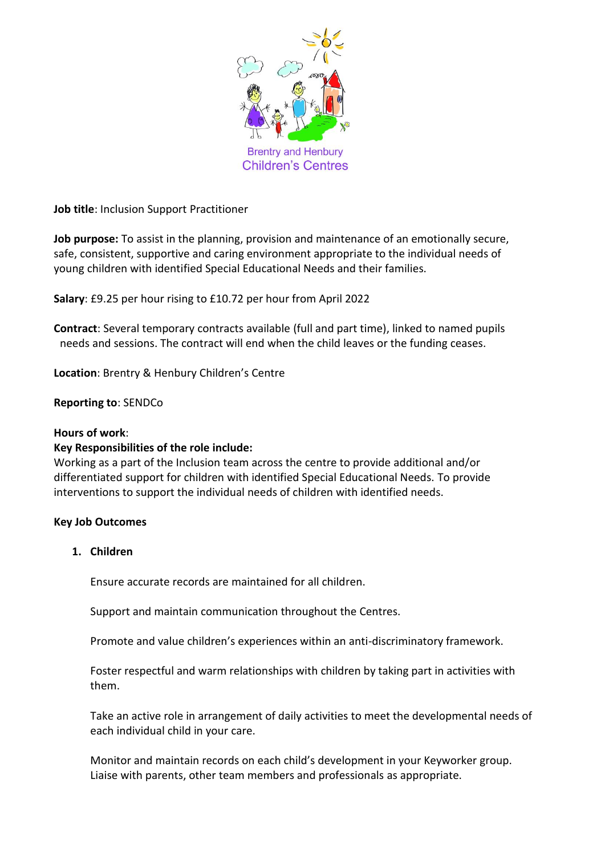

**Job title**: Inclusion Support Practitioner

**Job purpose:** To assist in the planning, provision and maintenance of an emotionally secure, safe, consistent, supportive and caring environment appropriate to the individual needs of young children with identified Special Educational Needs and their families.

**Salary**: £9.25 per hour rising to £10.72 per hour from April 2022

**Contract**: Several temporary contracts available (full and part time), linked to named pupils needs and sessions. The contract will end when the child leaves or the funding ceases.

**Location**: Brentry & Henbury Children's Centre

#### **Reporting to**: SENDCo

#### **Hours of work**:

#### **Key Responsibilities of the role include:**

Working as a part of the Inclusion team across the centre to provide additional and/or differentiated support for children with identified Special Educational Needs. To provide interventions to support the individual needs of children with identified needs.

#### **Key Job Outcomes**

## **1. Children**

Ensure accurate records are maintained for all children.

Support and maintain communication throughout the Centres.

Promote and value children's experiences within an anti-discriminatory framework.

Foster respectful and warm relationships with children by taking part in activities with them.

Take an active role in arrangement of daily activities to meet the developmental needs of each individual child in your care.

Monitor and maintain records on each child's development in your Keyworker group. Liaise with parents, other team members and professionals as appropriate.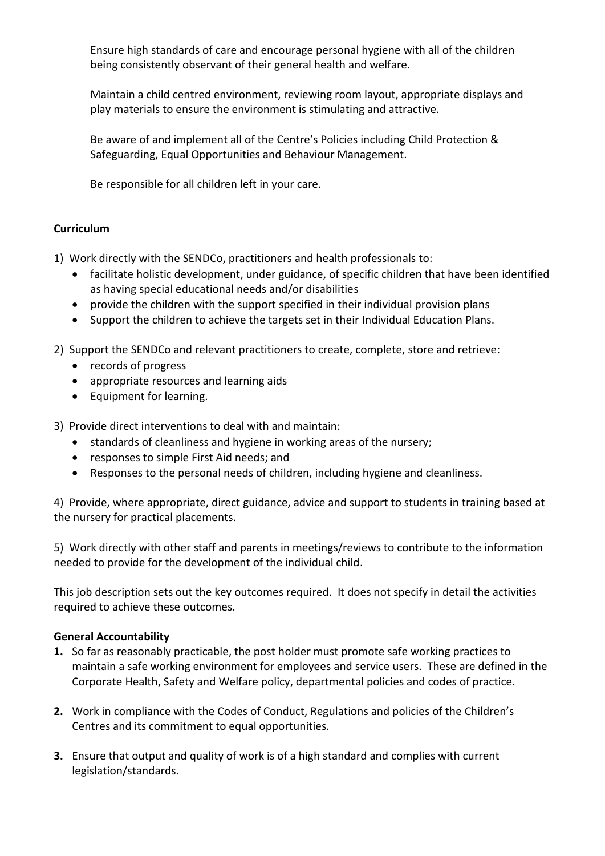Ensure high standards of care and encourage personal hygiene with all of the children being consistently observant of their general health and welfare.

Maintain a child centred environment, reviewing room layout, appropriate displays and play materials to ensure the environment is stimulating and attractive.

Be aware of and implement all of the Centre's Policies including Child Protection & Safeguarding, Equal Opportunities and Behaviour Management.

Be responsible for all children left in your care.

# **Curriculum**

1) Work directly with the SENDCo, practitioners and health professionals to:

- facilitate holistic development, under guidance, of specific children that have been identified as having special educational needs and/or disabilities
- provide the children with the support specified in their individual provision plans
- Support the children to achieve the targets set in their Individual Education Plans.

2) Support the SENDCo and relevant practitioners to create, complete, store and retrieve:

- records of progress
- appropriate resources and learning aids
- Equipment for learning.

3) Provide direct interventions to deal with and maintain:

- standards of cleanliness and hygiene in working areas of the nursery;
- responses to simple First Aid needs; and
- Responses to the personal needs of children, including hygiene and cleanliness.

4) Provide, where appropriate, direct guidance, advice and support to students in training based at the nursery for practical placements.

5) Work directly with other staff and parents in meetings/reviews to contribute to the information needed to provide for the development of the individual child.

This job description sets out the key outcomes required. It does not specify in detail the activities required to achieve these outcomes.

# **General Accountability**

- **1.** So far as reasonably practicable, the post holder must promote safe working practices to maintain a safe working environment for employees and service users. These are defined in the Corporate Health, Safety and Welfare policy, departmental policies and codes of practice.
- **2.** Work in compliance with the Codes of Conduct, Regulations and policies of the Children's Centres and its commitment to equal opportunities.
- **3.** Ensure that output and quality of work is of a high standard and complies with current legislation/standards.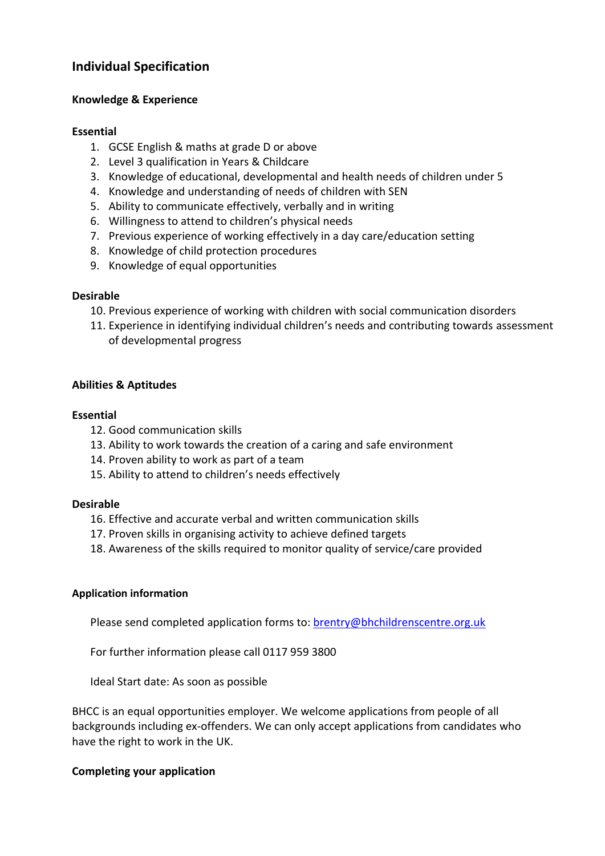# **Individual Specification**

# **Knowledge & Experience**

## **Essential**

- 1. GCSE English & maths at grade D or above
- 2. Level 3 qualification in Years & Childcare
- 3. Knowledge of educational, developmental and health needs of children under 5
- 4. Knowledge and understanding of needs of children with SEN
- 5. Ability to communicate effectively, verbally and in writing
- 6. Willingness to attend to children's physical needs
- 7. Previous experience of working effectively in a day care/education setting
- 8. Knowledge of child protection procedures
- 9. Knowledge of equal opportunities

## **Desirable**

- 10. Previous experience of working with children with social communication disorders
- 11. Experience in identifying individual children's needs and contributing towards assessment of developmental progress

# **Abilities & Aptitudes**

## **Essential**

- 12. Good communication skills
- 13. Ability to work towards the creation of a caring and safe environment
- 14. Proven ability to work as part of a team
- 15. Ability to attend to children's needs effectively

#### **Desirable**

- 16. Effective and accurate verbal and written communication skills
- 17. Proven skills in organising activity to achieve defined targets
- 18. Awareness of the skills required to monitor quality of service/care provided

#### **Application information**

Please send completed application forms to: **brentry@bhchildrenscentre.org.uk** 

For further information please call 0117 959 3800

Ideal Start date: As soon as possible

BHCC is an equal opportunities employer. We welcome applications from people of all backgrounds including ex-offenders. We can only accept applications from candidates who have the right to work in the UK.

# **Completing your application**